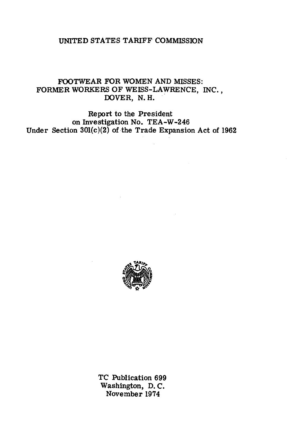# UNITED STATES TARIFF COMMISSION

# FOOTWEAR FOR WOMEN AND MISSES: FORMER WORKERS OF WEISS-LAWRENCE, INC., DOVER, N.H.

Report to the President on Investigation No. TEA-W-246 Under Section  $301(c)(2)$  of the Trade Expansion Act of 1962



TC Publication 699 Washington, D. C. November 1974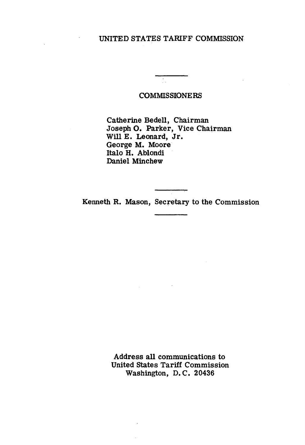# UNITED STATES TARIFF COMMISSION

#### COMMISSIONERS

Catherine Bedell, Chairman Joseph O. Parker, Vice Chairman Will E. Leonard, Jr. George M. Moore Italo H. Ablondi Daniel Minchew

Kenneth R. Mason, Secretary to the Commission

Address all communications to United States Tariff Commission Washington, D. C. 20436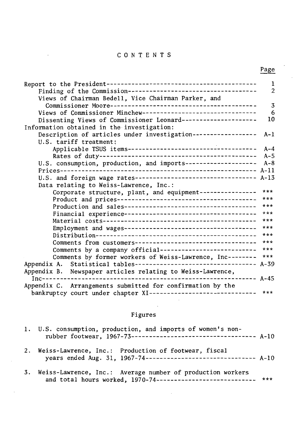# C 0 N T E N T S

Page

|                                                                      | 1              |
|----------------------------------------------------------------------|----------------|
|                                                                      | $\overline{a}$ |
| Views of Chairman Bedell, Vice Chairman Parker, and                  |                |
|                                                                      | $\overline{3}$ |
| Views of Commissioner Minchew--------------------------------        | 6              |
| Dissenting Views of Commissioner Leonard---------------------        | 10             |
|                                                                      |                |
| Information obtained in the investigation:                           |                |
| Description of articles under investigation------------------        | $A-1$          |
| U.S. tariff treatment:                                               |                |
|                                                                      | $A - 4$        |
|                                                                      | $A-5$          |
| U.S. consumption, production, and imports-------------------- A-8    |                |
|                                                                      |                |
| U.S. and foreign wage rates---------------------------------- A-13   |                |
| Data relating to Weiss-Lawrence, Inc.:                               |                |
| Corporate structure, plant, and equipment----------------            | ***            |
|                                                                      | ***            |
|                                                                      |                |
|                                                                      | $***$          |
|                                                                      | ***            |
|                                                                      | ***            |
|                                                                      | $***$          |
| Comments from customers---------------------------------- ***        |                |
| Comments by a company official--------------------------             | ***            |
| Comments by former workers of Weiss-Lawrence, Inc--------            | $***$          |
| Appendix A. Statistical tables--------------------------------- A-39 |                |
| Appendix B. Newspaper articles relating to Weiss-Lawrence,           |                |
| $--- A-45$                                                           |                |
| Appendix C. Arrangements submitted for confirmation by the           |                |
| bankruptcy court under chapter XI------------------------------      | $***$          |
|                                                                      |                |

# Figures

| 1. U.S. consumption, production, and imports of women's non-                                                                     |  |
|----------------------------------------------------------------------------------------------------------------------------------|--|
| 2. Weiss-Lawrence, Inc.: Production of footwear, fiscal<br>years ended Aug. 31, 1967-74-------------------------------- A-10     |  |
| 3. Weiss-Lawrence, Inc.: Average number of production workers<br>and total hours worked, 1970-74---------------------------- *** |  |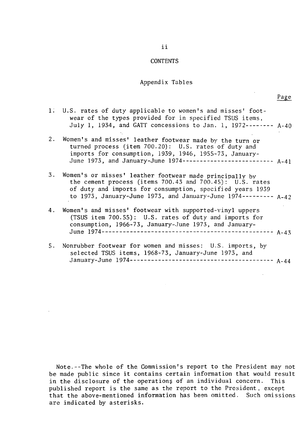#### **CONTENTS**

#### Appendix Tables

|    | 1. U.S. rates of duty applicable to women's and misses' foot-<br>wear of the types provided for in specified TSUS items,<br>July 1, 1934, and GATT concessions to Jan. 1, 1972-------- A-40                                                         |  |
|----|-----------------------------------------------------------------------------------------------------------------------------------------------------------------------------------------------------------------------------------------------------|--|
| 2. | Women's and misses' leather footwear made by the turn or<br>turned process (item 700.20): U.S. rates of duty and<br>imports for consumption, 1939, 1946, 1955-73, January-<br>June 1973, and January-June 1974-------------------------- A-41       |  |
| 3. | Women's or misses' leather footwear made principally by<br>the cement process (items 700.43 and 700.45): U.S. rates<br>of duty and imports for consumption, specified years 1939<br>to 1973, January-June 1973, and January-June 1974--------- A-42 |  |
| 4. | Women's and misses' footwear with supported-vinyl uppers<br>(TSUS item 700.55): U.S. rates of duty and imports for<br>consumption, 1966-73, January-June 1973, and January-                                                                         |  |
|    | 5. Nonrubber footwear for women and misses: U.S. imports, by                                                                                                                                                                                        |  |

selected TSUS items, 1968-73, January-June 1973, and January-June 1974----------------------------------------- A-44

Note.--The whole of the Commission's report to the President may not be made public since it contains certain information that would result in the disclosure of the operations of an individual concern. This published report is the same as the report to the President, except that the above-mentioned information has been omitted. Such omissions are indicated by asterisks.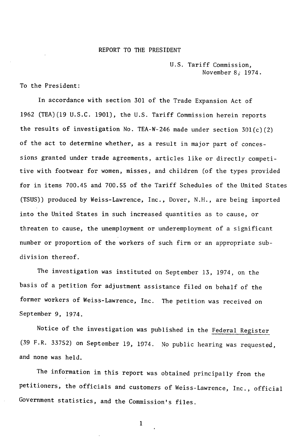#### REPORT TO THE PRESIDENT

U.S. Tariff Commission, November 8; 1974.

To the President:

In accordance with section 301 of the Trade Expansion Act of 1962 (TEA)(l9 U.S.C. 1901), the U.S. Tariff Commission herein reports the results of investigation No. TEA-W-246 made under section  $301(c)(2)$ of the act to determine whether, as a result in major part of concessions granted under trade agreements, articles like or directly competitive with footwear for women, misses, and children (of the types provided for in items 700.45 and 700.55 of the Tariff Schedules of the United States (TSUS)) produced by Weiss-Lawrence, Inc., Dover, N.H., are being imported into the United States in such increased quantities as to cause, or threaten to cause, the unemployment or underemployment of a significant number or proportion of the workers of such firm or an appropriate subdivision thereof.

The investigation was instituted on September 13, 1974, on the basis of a petition for adjustment assistance filed on behalf of the former workers of Weiss-Lawrence, Inc. The petition was received on September 9, 1974.

Notice of the investigation was published in the Federal Register (39 F.R. 33752) on September 19, 1974. No public hearing was requested, and none was held.

The information in this report was obtained principally from the petitioners, the officials and customers of Weiss-Lawrence, Inc., official Government statistics, and the Commission's files.

1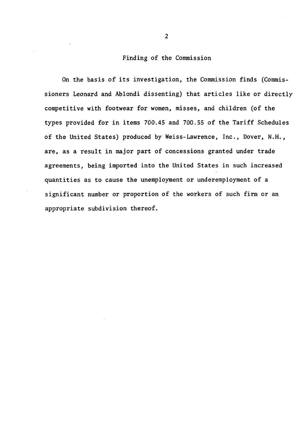#### Finding of the Commission

On the basis of its investigation, the Commission finds (Commissioners Leonard and Ablondi dissenting) that articles like or directly competitive with footwear for women, misses, and children (of the types provided for in items 700.45 and 700.55 of the Tariff Schedules of the United States) produced by Weiss-Lawrence, Inc., Dover, N.H., are, as a result in major part of concessions granted under trade agreements, being imported into the United States in such increased quantities as to cause the unemployment or underemployment of a significant number or proportion of the workers of such firm or an appropriate subdivision thereof.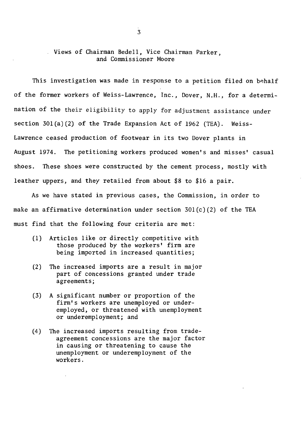#### Views of Chairman Bedell, Vice Chairman Parker, and Commissioner Moore

This investigation was made in response to a petition filed on behalf of the former workers of Weiss-Lawrence, Inc., Dover, N.H., for a determination of the their eligibility to apply for adjustment assistance under section 30l(a)(2) of the Trade Expansion Act of 1962 (TEA). Weiss-Lawrence ceased production of footwear in its two Dover plants in August 1974. The petitioning workers produced women's and misses' casual shoes. These shoes were constructed by the cement process, mostly with leather uppers, and they retailed from about \$8 to \$16 a pair.

As we have stated in previous cases, the Commission, in order to make an affirmative determination under section  $301(c)(2)$  of the TEA must find that the following four criteria are met:

- (1) Articles like or directly competitive with those produced by the workers' firm are being imported in increased quantities;
- (2) The increased imports are a result in major part of concessions granted under trade agreements;
- (3) A significant number or proportion of the firm's workers are unemployed or underemployed, or threatened with unemployment or underemployment; and
- (4) The increased imports resulting from tradeagreement concessions are the major factor in causing or threatening to cause the unemployment or underemployment of the workers.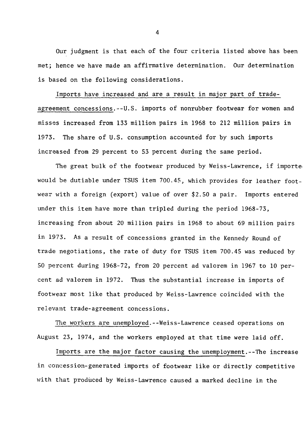Our judgment is that each of the four criteria listed above has been met; hence we have made an affirmative determination. Our determination is based on the following considerations.

Imports have increased and are a result in major part of tradeagreement concessions.--U.S. imports of nonrubber footwear for women and misses increased from 133 million pairs in 1968 to 212 million pairs in 1973. The share of U.S. consumption accounted for by such imports increased from 29 percent to 53 percent during the same period.

The great bulk of the footwear produced by Weiss~Lawrence, if importe, would be dutiable under TSUS item 700.45, which provides for leather footwear with a foreign. (export) value of over \$2.50 a pair. Imports entered under this item have more than tripled during the period 1968-73, increasing from about 20 million pairs in 1968 to about 69 million pairs in 1973. As a result of concessions granted in the Kennedy Round of trade negotiations, the rate of duty for TSUS item 700.45 was reduced by SO percent during 1968-72, from 20 percent ad valorem in 1967 to 10 percent ad valorem in 1972. Thus the substantial increase in imports of footwear most like that produced by Weiss-Lawrence coincided with the relevant trade-agreement concessions.

The workers are unemployed.--Weiss-Lawrence ceased operations on August 23, 1974, and the workers employed at that time were laid off.

Imports are the major factor causing the unemployment.--The increase in concession-generated imports of footwear like or directly competitive with that produced by Weiss-Lawrence caused a marked decline in the

4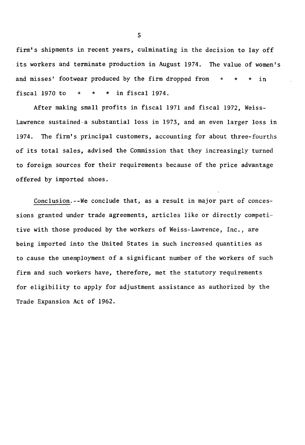firm's shipments in recent years, culminating in the decision to lay off . its workers and terminate production in August 1974. The value of women's and misses' footwear produced by the firm dropped from fiscal 1970 to  $* * * in f is 1974$ . \* \* \*  $\sin$ 

After making small profits in fiscal 1971 and fiscal 1972, Weiss-Lawrence sustained-a substantial loss in 1973, and an even larger loss in 1974. The firm's principal customers, accounting for about three-fourths of its total sales, advised the Commission that they increasingly turned to foreign sources for their requirements because of the price advantage offered by imported shoes.

Conclusion.--We conclude that, as a result in major part of concessions granted under trade agreements, articles like or directly competitive with those produced by the workers of Weiss-Lawrence, Inc., are being imported into the United States in such increased quantities as to cause the unemployment of a significant number of the workers of such firm and such workers have, therefore, met the statutory requirements for eligibility to apply for adjustment assistance as authorized by the Trade Expansion Act of 1962.

5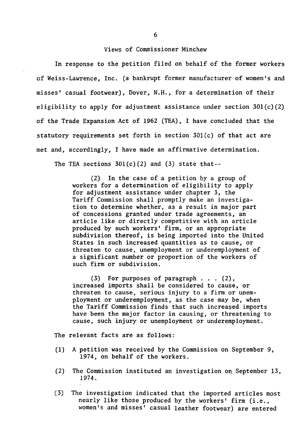#### Views of Commissioner Minchew

In response to the petition filed on behalf of the former workers of Weiss-Lawrence, Inc. (a bankrupt former manufacturer of women's and misses' casual footwear), Dover, N.H., for a determination of their eligibility to apply for adjustment assistance under section  $301(c)(2)$ of the Trade Expansion Act of 1962 (TEA), I have concluded that the statutory requirements set forth in section 30l(c) of that act are met and, accordingly, I have made an affirmative determination.

The TEA sections  $301(c)(2)$  and  $(3)$  state that--

(2) In the case of a petition by a group of workers for a determination of eligibility to apply for adjustment assistance under chapter 3, the Tariff Commission shall promptly make an investigation to determine whether, as a result in major part of concessions granted under trade agreements, an article like or directly competitive with an article produced by such workers' firm, or an appropriate subdivision thereof, is being imported into the United States in such increased quantities as to cause, or threaten to cause, unemployment or underemployment of a significant number or proportion of the workers of such firm or subdivision.

(3) For purposes of paragraph ... (2), increased imports shall be considered to cause, or threaten to cause, serious injury to a firm or unemployment or underemployment, as the case may be, when the Tariff Commission finds that such increased imports have been the major factor in causing, or threatening to cause, such injury or unemployment or underemployment.

The relevant facts are as follows:

- (1) A petition was received by the Commission on September *9,*  1974, on behalf of the workers.
- (2) The Commission instituted an investigation on September 13, 1974.
- (3) The investigation indicated that the imported articles most nearly like those produced by the workers' firm (i.e., women's and misses' casual leather footwear) are entered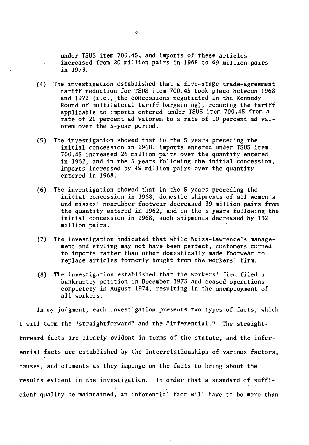under TSUS item 700.45, and imports of these articles increased from 20 million pairs in 1968 to 69 million pairs in 1973.

- (4) The investigation established that a five-stage trade-agreement tariff reduction for TSUS item 700.45 took place between 1968 and 1972 (i.e., the concessions negotiated in the Kennedy Round of multilateral tariff bargaining), reducing the tariff applicable to imports entered under TSUS item 700.45 from a rate of 20 percent ad valorem to a rate of 10 percent ad valorem over the 5-year period.
- (5) The investigation showed that in the 5 years preceding the initial concession in 1968, imports entered under TSUS item 700.45 increased 26 million pairs over the quantity entered in 1962, and in the 5 years following the initial concession, imports increased by 49 million pairs- over the quantity entered in 1968.
- (6) The investigation showed that in the 5 years preceding the initial concession in 1968, domestic shipments of all women's and misses' nonrubber footwear decreased 39 million pairs from the quantity entered in 1962, and in the  $5$  years following the initial concession in 1968, such shipments decreased by 132 million pairs.
- (7) The investigation indicated that while Weiss~Lawrence's management and styling may not have been perfect, customers turned to imports rather than other domestically made footwear to replace articles formerly bought from the workers' firm.
- (8) The investigation established that the workers' firm filed a bankruptcy petition in December 1973 and'ceased operations completely in August 1974, resulting in the unemployment of all workers.

In my judgment, each .investigation presents two types of facts, which I will term the "straightforward" and the !'inferential." The straightforward facts are clearly evident in terms of the statute, and the inferential facts are established by the interrelationships of various factors, causes, and elements as they impinge on the facts to bring about the results evident in the investigation. In order that a standard of sufficient quality be maintained, an inferential fact will have to be more than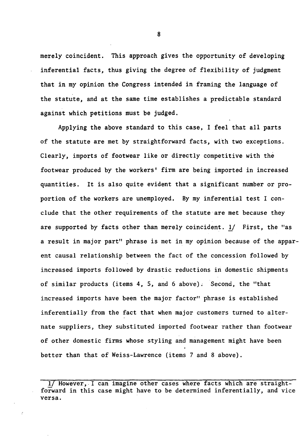merely coincident. This approach gives the opportunity of developing inferential facts, thus giving the degree of flexibility of judgment that in my opinion the Congress intended in framing the language of the statute, and at the same time establishes a predictable standard against which petitions must be judged.

Applying the above standard to this case, I feel that all parts of the statute are met by straightforward facts, with two exceptions. Clearly, imports of footwear like or directly competitive with the footwear produced by the workers' firm are being imported in increased quantities. It is also quite evident that a significant number or proportion of the workers are unemployed. By my inferential test I conelude that the other requirements of the statute are met because they are supported by facts other than merely coincident. 1/ First, the "as a result in major part" phrase is met in my opinion because of the apparent causal relationship between the fact of the concession followed by increased imports followed by drastic reductions in domestic shipments of similar products (items 4, 5, and 6 above). Second, the "that increased imports have been the major factor" phrase is established inferentially from the fact that when major customers turned to alternate suppliers, they substituted imported footwear rather than footwear of other domestic firms whose styling and management might have been better than that of Weiss-Lawrence (items 7 and 8 above).

8

<sup>1/</sup> However,. I can imagine other cases where facts which are straightforward in this case might have to be determined inferentially, and vice versa.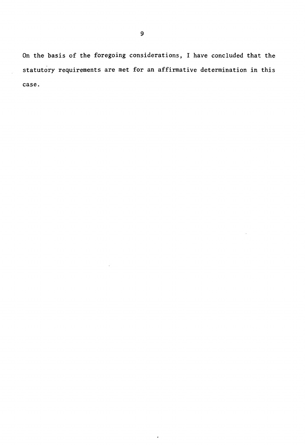On the basis of the foregoing considerations, I have concluded that the statutory requirements are met for an affirmative determination in this case.

 $\cdot$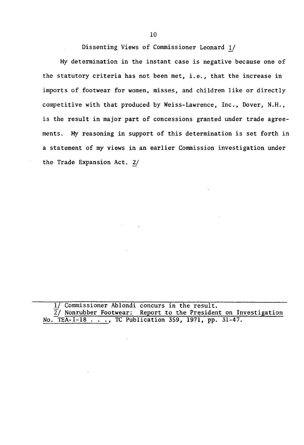Dissenting Views of Commissioner Leonard !/

My determination in the instant case is negative because one of the statutory criteria has not been met, i.e., that the increase in imports of footwear for women, misses, and children like or directly competitive with that produced by Weiss-Lawrence, *Inc.,* Dover, N.H., is the result in major part of concessions granted under trade agreements. My reasoning in support of this determination is set forth in a statement of my views in an earlier Commission investigation under the Trade Expansion Act. 2/

1/ Commissioner Ablondi concurs in the result.  $\overline{2}$ / Nonrubber Footwear: Report to the President on Investigation No. TEA-I-18 .. *. ,* TC Publication *359,* 1971, pp. 31-47.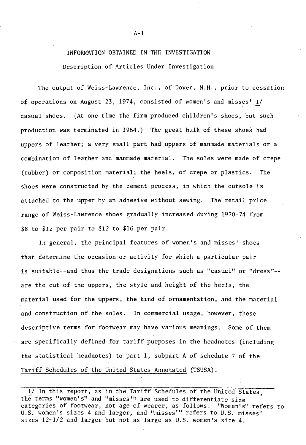# INFORMATION OBTAINED IN THE INVESTIGATION Description of Articles Under Investigation

The output of Weiss-Lawrence, Inc., of Dover, N.H., prior to cessation of operations on August 23, 1974, consisted of women's and misses' 1/ casual shoes. (At one time the firm produced children's shoes, but such production was terminated in 1964.) The great bulk of these shoes had uppers of leather; a very small part had uppers of manmade materials or a combination of leather and manmade material. The soles were made of crepe (rubber) or composition material; the heels, of crepe or plastics. The shoes were constructed by the cement process, in which the outsole is attached to the upper *by* an adhesive without sewing. The retail price range of Weiss-Lawrence shoes gradually increased during 1970-74 from \$8 to \$12 per pair to \$12 to \$16 per pair.

In general, the principal features of women's and misses' shoes that determine the occasion or activity for which a particular pair is suitable--and thus the trade designations such as "casual" or "dress"-are the cut of the uppers, the style and height of the heels, the material used for the uppers, the kind of ornamentation, and the material and construction of the soles. In commercial usage, however, these descriptive terms for footwear may have various meanings. Some of them are specifically defined for tariff purposes in the headnotes (including the statistical headnotes) to part 1, subpart A of schedule 7 of the Tariff Schedules of the United States Annotated (TSUSA).

A-1

<sup>1/</sup> In this report, as in the Tariff Schedules of the United States the terms "women's" and "misses''' are used to differentiate size ' categories of footwear, not age of wearer, as follows: "Women's" refers to U.S. women's sizes 4 and larger, and "misses'" refers to U.S. misses' sizes 12-1/2 and larger but not as large as U.S. women's size 4.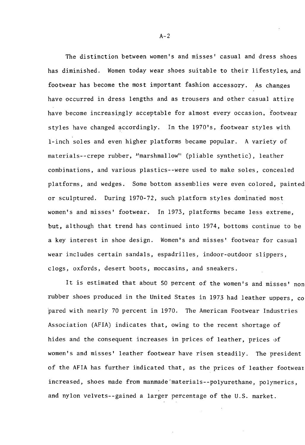The distinction between women's and misses' casual and dress shoes has diminished. Women today wear shoes suitable to their lifestyles, and footwear has become the most important fashion accessory. As changes have occurred in dress lengths and as trousers and other casual attire have become increasingly acceptable for almost every occasion, footwear styles have changed accordingly. In the 1970's, footwear styles with 1-inch soles and even higher platforms became popular. A variety of materials--crepe rubber, "marshmallow" (pliable synthetic), leather combinations, and various plastics--were used to make soles, concealed platforms, and wedges. Some bottom assemblies were even colored, painted or sculptured. During 1970-72, such platform styles dominated most women's and misses' footwear. In 1973, platforms became less extreme, but, although that trend has continued into 1974, bottoms continue to be a key interest in shoe design. Women's and misses' footwear for casual wear includes certain sandals, espadrilles, indoor-outdoor slippers, clogs, oxfords, desert boots, moccasins, and sneakers.

It is estimated that about 50 percent of the women's and misses' non rubber shoes produced in the United States in 1973 had leather uppers, co pared with nearly 70 percent in 1970. The American Footwear Industries Association (AFIA) indicates that, owing to the recent shortage of hides and the consequent increases in prices of leather, prices of women's and misses' leather footwear have risen steadily. The president of the AFIA has further indicated that, as the prices of leather footwear increased, shoes made from manmade'materials--polyurethane, polymerics, and nylon velvets--gained a larger percentage of the U.S. market.

 $A-2$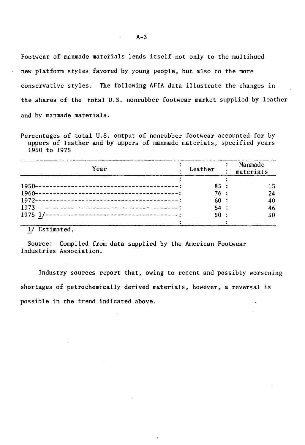Footwear of manmade materials lends itself not only to the multihued new platform styles favored by young people, but also to the more conservative styles. The following AFIA data illustrate the changes in the shares of the total U.S. nonrubber footwear market supplied by leather and by manmade materials.

Percentages of total U.S. output of nonrubber footwear accounted for by uppers of leather and by uppers of manmade materials, specified years 19SO to 197S

| Year | Leather                  | Manmade<br>materials |
|------|--------------------------|----------------------|
|      | 85:<br>76:<br>60:<br>54: | 15<br>24<br>40<br>46 |
|      | 50:                      | 50                   |

1/ Estimated.

Source: Compiled from data supplied by the American Footwear Industries Association.

Industry sources report that, owing to recent and possibly worsening shortages of petrochemically derived materials, however, a reversal is possible in the trend indicated above.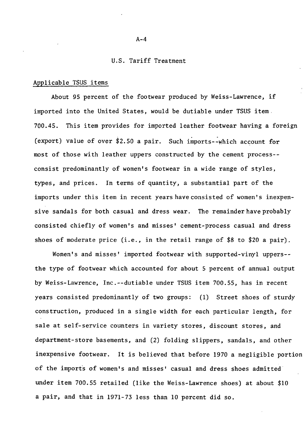#### U.S. Tariff Treatment

#### Applicable TSUS items

About 95 percent of the footwear produced by Weiss-Lawrence, if imported into the United States, would be dutiable under TSUS item. 700.45. This item provides for imported leather footwear having a foreign (export) value of over \$2.50 a pair. Such imports--which account for most of those with leather uppers constructed by the cement process- consist predominantly of women's footwear in a wide range of styles, types, and prices. In terms of quantity, a substantial part of the imports under this item in recent years have consisted of women's inexpensi ve sandals for both casual and dress wear. The remainder have probably consisted chiefly of women's and misses' cement-process casual and dress shoes of moderate price (i.e., in the retail range of \$8 to \$20 a pair).

Women's and misses' imported footwear with supported-vinyl uppers- the type of footwear which accounted for about 5 percent of annual output by Weiss-Lawrence, Inc.--dutiable under TSUS item 700.55, has in recent years consisted predominantly of two groups: (1) Street shoes of sturdy construction, produced in a single width for each particular length, for sale at self-service counters in variety stores, discount stores, and department-store basements, and (2) folding slippers, sandals, and other inexpensive footwear. It is believed that before 1970 a negligible portion of the imports of women's and misses' casual and dress shoes admitted under item 700.55 retailed (like the Weiss-Lawrence shoes) at about \$10 a pair, and that in 1971-73 less than 10 percent did so.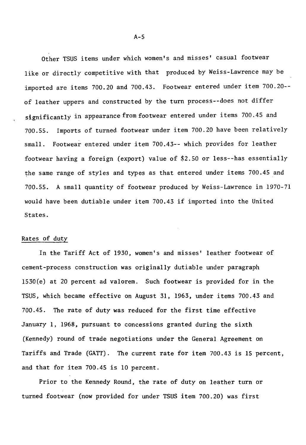Other TSUS items under which women's and misses' casual footwear like or directly competitive with that produced by Weiss-Lawrence may be imported are items 700.20 and 700.43. Footwear entered under item 700.20- of leather uppers and constructed by the turn process--does not differ significantly in appearance from footwear entered under items 700.45 and 700.55. Imports of turned footwear under item 700.20 have been relatively small. Footwear entered under item 700.43-- which provides for leather footwear having a foreign (export) value of \$2.50 or less--has essentially the same range of styles and types as that entered under items 700.45 and 700.55. A small quantity of footwear produced by Weiss-Lawrence in 1970-71 would have been dutiable under item 700.43 if imported into the United States.

#### Rates of duty

In the Tariff Act of 1930, women's and misses' leather footwear of cement-process construction was originally dutiable under paragraph 1530(e) at 20 percent ad valorem. Such footwear is provided for in the TSUS, which became effective on August 31, 1963, under items 700.43 and 700.45. The rate of duty was reduced for the first time effective January 1, 1968, pursuant to concessions granted during the sixth (Kennedy) round of trade negotiations under the General Agreement on Tariffs and Trade (GATT). The current rate for item 700.43 is 15 percent, and that for item 700.45 is 10 percent.

Prior to the Kennedy Round, the rate of duty on leather turn or turned footwear (now provided for under TSUS item 700.20) was first

 $A-5$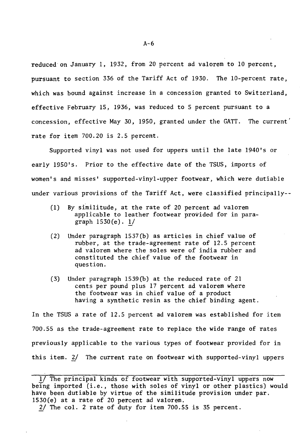reduced on January 1, 1932, from 20 percent ad valorem to 10 percent, pursuant to section 336 of the Tariff Act of 1930. The 10-percent rate, which was bound against increase in a concession granted to Switzerland, effective February 15, 1936, was reduced to 5 percent pursuant to a concession, effective May 30, 1950, granted under the GATT. The current' rate for item  $700.20$  is 2.5 percent.

Supported vinyl was not used for uppers until the late 1940's or early 1950's. Prior to the effective date of the TSUS, imports of women's and misses' supported-vinyl-upper footwear, which were dutiable under various provisions of the Tariff Act, were classified principally--

- (1) By similitude, at the rate of 20 percent ad valorem applicable to leather footwear provided for in paragraph  $1530(e)$ . 1/
- (2) Under paragraph 1537(b) as articles in chief value of rubber, at the trade-agreement rate of 12.5 percent ad valorem where the soles were of india rubber and constituted the chief value of the footwear in question.
- (3) Under paragraph 1539(b) at the reduced rate of 21 cents per pound plus 17 percent ad valorem where the footwear was in chief value of a product having a synthetic resin as the chief binding agent.

In the TSUS a rate of 12.5 percent ad valorem was established for item 700.55 as the trade-agreement rate to replace the wide range of rates previously applicable to the various types of footwear provided for in this item.  $2/$  The current rate on footwear with supported-vinyl uppers

<sup>1/</sup> The principal kinds of footwear with supported-vinyl uppers now being imported (i.e., those with soles of vinyl or other plastics) would have been dutiable by virtue of the similitude provision under par. 1530(e) at a rate of 20 percent ad valorem.

<sup>2/</sup> The col. 2 rate of duty for item 700.55 is 35 percent.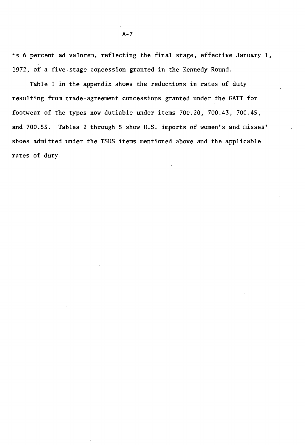is 6 percent ad valorem, reflecting the final stage, effective January 1, 1972, of a five-stage concession granted in the Kennedy Round.

Table 1 in the appendix shows the reductions in rates of duty resulting from trade-agreement concessions granted under the GATT for footwear of the types now dutiable under items 700.20, 700.43, 700.45, and 700.55. Tables 2 through 5 show U.S. imports of women's and misses' shoes admitted under the TSUS items mentioned above and the applicable rates of duty.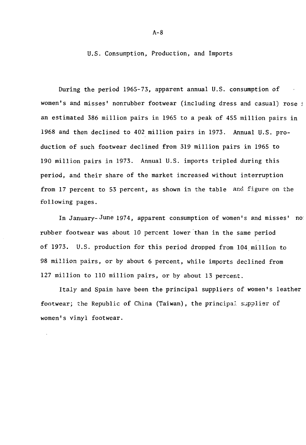U.S. Consumption, Production, and Imports

During the period 1965-73, apparent annual U.S. consumption of women's and misses' nonrubber footwear (including dress and casual) rose i an estimated 386 million pairs in 1965 to a peak of 455 million pairs in 1968 and then declined to 402 million pairs in 1973. Annual U.S. production of such footwear declined from 319 million pairs in 1965 to 190 million pairs in 1973. Annual U.S. imports tripled during this period, and their share of the market increased without interruption from 17 percent to 53 percent, as shown in the table and figure on the following pages.

In January- June 1974, apparent consumption of women's and misses' no: rubber footwear was about 10 percent lower than in the same period of 1973. U.S. production for this period dropped from 104.million to 98 million pairs, or by about 6 percent, while imports declined from 127 million to 110 million pairs, or by about 13 percent.

Italy and Spain have been the principal suppliers of women's leather footwear; the Republic of China (Taiwan), the principal supplier of women's vinyl footwear.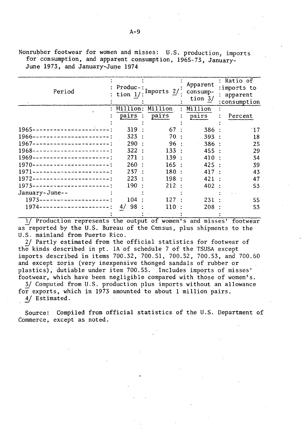Apparent : Ratio of  $\begin{bmatrix} \texttt{Product} : \texttt{Imports} & 2/1 \ \texttt{tion} & \underline{1/1} \end{bmatrix}$ :imports to Period consump-<br>tion  $\frac{3}{2}$  : apparent<br>consumption Million: Million. Million pairs pairs pairs : Percent 1965-----------------~~---: 319 : 67  $\bullet$ 386 · 17 1966----------------------: 323  $70:$ 393 18 1967----------------------:  $290:$  $96:$ 386 25 1968----------------------:  $322:$  $133 :$ 455 29 1969----------------------:  $271:$  $139:$ 410 34 1970----------------------:  $260:$  $165:$ 425 39 1971----------------------: 2.37  $180:$ 417 .. 43 1972----------------------: 223 198 421 : 47 190 1973----------------------:  $212:$ 402 .. 53 January-June-- 1973-------------------- : 104 127 231 55

Nonrubber footwear for women and misses: U.S. production, imports for consumption, and apparent consumption, 1965-73, January-June 1973, and January-June 1974

1/ Production represents the output of women's and misses' footwear as reported by the U.S. Bureau of the Census, plus shipments to the U.S. mainland from Puerto Rico.

110

208 53

 $4/98:$ 

1974--------------------:

2/ Partly estimated from the official statistics for footwear of the kinds described in pt. IA of schedule 7 of the TSUSA except imports described in items 700.32, 700.51, 700.52, 700.53, and 700.60 and except zoris (very inexpensive thonged sandals of rubber or plastics), dutiable under item 700.55. Includes imports of misses' footwear, which have been negligible compared with those of women's.

3/ Computed from U.S. production plus imports without an allowance for exports, which in 1973 amounted to about 1 million pairs. 4/ Estimated.

Source: Compiled from official statistics of the U.S. Department of Commerce, except as noted.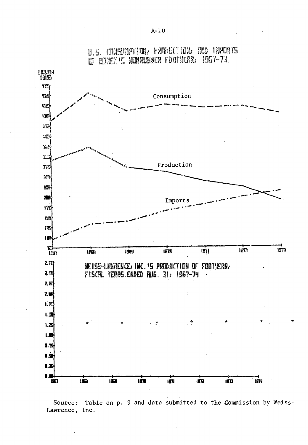

U.5. CONSUMPTION, FRODUCTION, RND IMPORTS OF NOMEN'S NONRUBBER FOOTHERR, 1967-73.

Source: Table on p. 9 and data submitted to the Commission by Weiss-Lawrence, Inc.

\*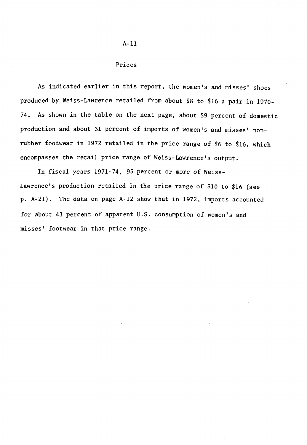#### Prices

As indicated earlier in this report, the women's and misses' shoes produced by Weiss-Lawrence retailed from about \$8 to \$16 a pair in 1970- 74. As shown in the table on the next page, about 59 percent of domestic production and about 31 percent of imports of women's and misses' nonrubber footwear in 1972 retailed in the price range of \$6 to \$16, which encompasses the retail price range of Weiss-Lawrence's output.

In fiscal years 1971-74, 95 percent or more of Weiss-Lawrence's production retailed in the price range of \$10 to \$16 (see p. A-21). The data on page A-12 show that in 1972, imports accounted for about 41 percent of apparent U.S. consumption of women's and misses' footwear in that price range.

#### A-11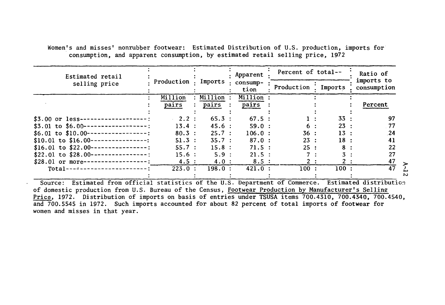Women's and misses' nonrubber footwear: Estimated Distribution of U.S. production, imports for consumption, and apparent consumption, by estimated retail selling price, 1972

| Estimated retail                                                                       |            |           | Apparent         | Percent of total-- |                | Ratio of                  |  |
|----------------------------------------------------------------------------------------|------------|-----------|------------------|--------------------|----------------|---------------------------|--|
| selling price                                                                          | Production | Imports   | consump-<br>tion | Production         | Imports        | imports to<br>consumption |  |
|                                                                                        | Million    | Million   | Million:         |                    |                |                           |  |
|                                                                                        | pairs      | pairs     | pairs            |                    |                | Percent                   |  |
| $$3.00$ or less-                                                                       | 2.2:       | $65.3$ :  | $67.5$ :         |                    | 33             | 97                        |  |
| \$3.01 to \$6.00 --                                                                    | 13.4 :     | 45.6:     | 59.0 :           |                    | 23             | .77                       |  |
| $$6.01$ to $$10.00-$<br>------------                                                   | $80.3$ :   | 25.7:     | $106.0$ :        | 36:                | 13             | .24                       |  |
| $$10.01$ to $$16.00-$                                                                  | $51.3$ :   | 35.7:     | $87.0$ :         | 23:                | 18:            | 41                        |  |
| $$16.01$ to $$22.00-$                                                                  | 55.7:      | 15.8:     | 71.5 ::          | 25:                | 8              | 22                        |  |
| $$22.01$ to $$28.00-$                                                                  | 15.6:      | 5.9:      | 21.5:            |                    | $\mathbf{3}$ : | 27                        |  |
| $$28.01$ or more-                                                                      | 4.5:       | 4.0:      | 8.5:             |                    |                | 47                        |  |
| $Total---$                                                                             | 223.0:     | $198.0$ : | 421.0:           | 100:               | 100:           | 47                        |  |
| Estimated from official statistics of the ILS Department of Commerce<br>S <sub>O</sub> |            |           |                  |                    |                | Estimated distributio     |  |

Source: Estimated from official statistics of the U.S. Department of Commerce. Estimated distribution of domestic production from U.S. Bureau of the Census, Footwear Production by Manufacturer's Selling Price, 1972. Distribution of imports on basis of entries under TSUSA items 700.4310, 700.4340, 700.4540, and 700.5545 in 1972. Such imports accounted for about 82 percent of total imports of footwear for women and misses in that year.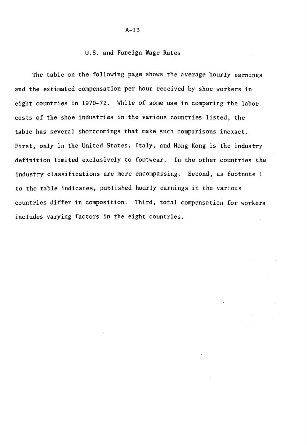#### U.S. and Foreign Wage Rates

The table on the following page shows the average hourly earnings and the estimated compensation per hour received by shoe workers in eight countries in 1970-72. While of some use in comparing the labor costs of the shoe industries in the various countries listed, the table has several shortcomings that make such comparisons inexact. First, only in the United States, Italy, and Hong Kong is the industry definition limited exclusively to footwear. In the other countries the industry classifications are more encompassing. Second, as footnote 1 to the table indicates, published hourly earnings in the various countries differ in composition. Third, total compensation for workers includes varying factors in the eight countries.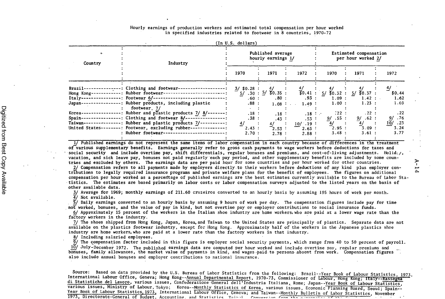#### Hourly earnings of production workers and estimated total compensation per hour worked in specified industries related to footwear in 8 countries, 1970-72

| Country    | Industry                                                                                                                      |                                 | Published average<br>hourly earnings 1/ |                           |                                         | Estimated compensation<br>per hour worked 2/ |                         |
|------------|-------------------------------------------------------------------------------------------------------------------------------|---------------------------------|-----------------------------------------|---------------------------|-----------------------------------------|----------------------------------------------|-------------------------|
|            |                                                                                                                               | 1970                            | 1971                                    | 1972                      | 1970                                    | 1971                                         | 1972                    |
| $Brazil--$ | ----: Clothing and footwear---                                                                                                | $3/$ \$0.28 :                   | 4/                                      |                           | $\frac{4}{30.41}$ : $\frac{4}{30.32}$ : |                                              | 4/                      |
| Italy---   | Hong Kong------------: Rubber footwear--------------------------<br>-----------: Footwear 6/--------------------------------- | .60:                            | 5/ .30 : 5/ 30.35 :<br>$.80$ :          | .93:                      | 1.09:                                   | $\sqrt{50.37}$ :<br>-57<br>1.42 :            | \$0.44<br>1.62          |
| Japan---   | -: Rubber products, including plastic<br>footwear 7/                                                                          | .88:                            | 1.08:                                   | 1.49:                     | 1.00:                                   | 1.23:                                        | 1.69                    |
| Korea---   | $\cdot$ -: Rubber and plastic products 7/8/-------:                                                                           | $\sim 100$ M $_{\odot}$<br>.18: | .18:                                    | $.18$ :                   | $\frac{1}{22}$ :                        | .22 :                                        | .22                     |
| Spain---   | $---------:$ Clothing and footwear $8/----------:$<br>Taiwan---------------: Rubber and plastic products $7/-$ ----------:    | .38:<br>4/                      | .43 :                                   | .53 :                     | 9/ .55 :<br>4/                          | 9/ .62 :<br>4/                               | .76<br>9/<br>.23<br>10/ |
|            | United States--------: Footwear, excluding rubber--------------:                                                              | 2.43:                           | 4/<br>$r_{2.53}:$                       | $10/19$ :<br>- 1<br>2.63: | 2.95:                                   | 3.09:                                        | 3.24                    |
|            | : Rubber footwear--------------------------:                                                                                  | 2.70:                           | 2.78:                                   | 2.88:                     | 3.48:                                   | 3.61:                                        | 3.77                    |

(In U.S. dollars)

1/ Published earnings do not represent the same items of labor compensation in each country because of differences in the treatment of-various supplementary benefits. Earnings generally refer to gross cash payments to wage workers before deductions for taxes and social security and include overtime pay, shift differentials, regular bonuses and premiums, and cost-of-living adjustments. Holid:  $j$ , vacation, and sick leave pay, bonuses not.paid regularly·each pay period, and other supplementary benefits are included by some countries and excluded by others. The earnings data are per paid hour for some countries and per hour worked for other countries.

2/ Compensation refers to all payments made by employers directly to their workers before deductions of any kind plus employer contributions to legally required insurance programs and private welfare plans for the benefit of employees. The figures on additional compensation per hour worked as a percentage of published earnings are the best estimates currently available to the Bureau of labor Sta-· tistics. The estimates are based primarily on labor costs or labor compensation surveys adjusted to the listed years on the basis of other available data.

 $\breve{\tau}$ **14** 

3/ Average for 1969; monthly earnings of 211.60 cruzeiros converted to an hourly basis by assuming 19S hours of work per month. 4/ Not available.

 $\overline{5}$ / Daily earnings converted to an hourly basis by assuming 9 hours of work per day. The compensation figures include pay for time . not worked, bonuses, and the value of pay in kind, but not overtime pay or employer contributions to social insurance funds.

6/ Approximately lS percent of the workers in the Italian shoe industry are home workers, who are paid at a lower wage rate than the factory workers in the industry.

7/ The shoes shipped from Hong Kong, Japan, Korea, and Taiwan to the United States are principally of plastics. Separate data are not available on the plastics footwear industry, except for Hong Kong. Approximately half of the workers in the Japanese plastics shoe industry are home workers, who are paid at a lower rate than the factory workers in that industry.

8/ Including salaried employees.

 $\overline{9}$ / The compensation factor included in this figure is employer social security payments, which range from 40 to 50 percent of payroll.  $10/$  July-December 1972. The published earnings data are computed per hour worked and include overtime pay, regular premiums and bonuses, family allowances, the market value of payments in kind, and wages paid to persons absent from work. Compensation figures also include annual bonuses and employer contributions to national insurance.

Source: Based on data provided by the U.S. Bureau of Labor Statistics from the following: Brazil--Year Book of Labour Statistics, 1973, International Labour Office, Geneva; Hong Kong--Annual Departmental Report, 1970-73, Commissioner of Labour, Hong Kong; Italy--Rassegna di Statistiche del Lavoro, various issues, Confederazione General dell'Industria Italiana, Rome; Japan--Year Book of Labour Statistics, various issues, Ministry of Labour, Tokyo; Korea--Monthly Statistics of Korea, various issues, Economic Planning Board, Seoul; Spain-- Year Book of Labour Statistics, 1973, International Labour Office, Geneva; and Taiwan--Monthly Bulletin of Labor Statistics, November 1973, Directorate-General of Budget. Accounting and Statistics Taiwai. Convenien from the current of **LCT**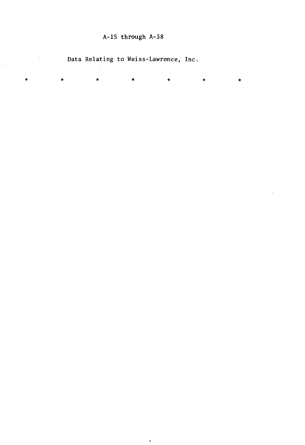# A-15 through A-38

l,

 $\sim$ 

 $\ddot{\phantom{a}}$ 

Data Relating to Weiss-Lawrence, Inc.

| $\mathbf{x}$ | $\star$ | $\star$ | * | $\star$ | $\star$ | $\star$ |
|--------------|---------|---------|---|---------|---------|---------|
|              |         |         |   |         |         |         |
|              |         |         |   |         |         |         |
|              |         |         |   |         |         |         |
|              |         |         |   |         |         |         |
|              |         |         |   |         |         |         |
|              |         |         |   |         |         |         |
|              |         |         |   |         |         |         |
|              |         |         |   |         |         |         |
|              |         |         |   |         |         |         |
|              |         |         |   |         |         |         |
|              |         |         |   |         |         |         |
|              |         |         |   |         |         |         |
|              |         |         |   |         |         |         |
|              |         |         |   |         |         |         |
|              |         |         |   |         |         |         |
|              |         |         |   |         |         |         |
|              |         |         |   |         |         |         |
|              |         |         |   |         |         |         |
|              |         |         |   |         |         |         |
|              |         |         |   |         |         |         |
|              |         |         |   |         |         |         |
|              |         |         |   |         |         |         |
|              |         |         |   |         |         |         |
|              |         |         |   |         |         |         |
|              |         |         |   |         |         |         |
|              |         |         |   |         |         |         |
|              |         |         |   |         |         |         |
|              |         |         |   |         |         |         |
|              |         |         |   |         |         |         |
|              |         |         |   |         |         |         |
|              |         |         |   |         |         |         |
|              |         |         |   |         |         |         |
|              |         |         |   |         |         |         |
|              |         |         |   |         |         |         |
|              |         |         |   |         |         |         |
|              |         |         |   |         |         |         |
|              |         |         |   |         |         |         |
|              |         |         |   |         |         |         |
|              |         |         |   |         |         |         |
|              |         |         |   |         |         |         |
|              |         |         |   |         |         |         |
|              |         |         |   |         |         |         |
|              |         |         |   |         |         |         |
|              |         |         |   |         |         |         |
|              |         |         |   |         |         |         |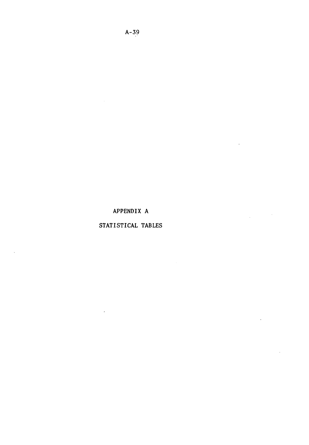# APPENDIX A

 $\sim$ 

 $\ddot{\phantom{a}}$ 

## STATISTICAL TABLES

 $\cdot$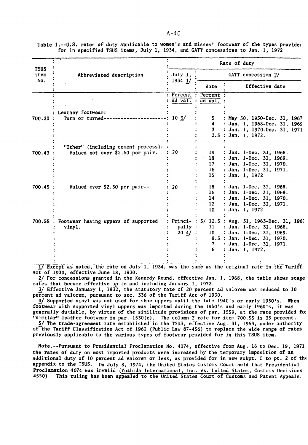|                            |                                              |                  |                   | Rate of duty                                    |
|----------------------------|----------------------------------------------|------------------|-------------------|-------------------------------------------------|
| <b>TSUS</b><br>item<br>No. | Abbreviated description                      | July 1,          |                   | GATT concession 2/                              |
|                            |                                              | $1934$ $1/$      | Rate              | Effective date                                  |
|                            |                                              |                  | Percent : Percent |                                                 |
|                            |                                              | $ad$ val.        | $: ad$ val.       |                                                 |
|                            | Leather footwear:                            |                  |                   |                                                 |
| $700.20$ :                 | Turn or turned-                              | $10 \frac{3}{ }$ | 5.                | : May 30, 1950-Dec. 31, 1967                    |
|                            |                                              |                  | $\sim$            | : Jan. 1, 1968-Dec. 31, 1969                    |
|                            |                                              |                  | 3                 | : Jan. 1, 1970-Dec. 31, 1971                    |
|                            |                                              |                  |                   | 2.5: Jan. 1. 1972.                              |
|                            | "Other" (including cement process):          |                  |                   |                                                 |
| 700.43:                    | Valued not over \$2.50 per pair.             | 20               | 19                | : Jan. 1-Dec. 31, 1968.                         |
|                            |                                              |                  | 18                | : Jan. 1-Dec. 31, 1969.                         |
|                            |                                              |                  | 17 <sup>7</sup>   | : Jan. 1-Dec. 31, 1970.                         |
|                            |                                              |                  | 16                | : Jan. 1-Dec. 31, 1971.                         |
|                            |                                              |                  | 15                | : Jan. 1, 1972                                  |
| $700.45$ :                 | Valued over \$2.50 per pair--                | 20               | 18                | : Jan. 1-Dec. 31, 1968.                         |
|                            |                                              |                  | 16 <sup>1</sup>   | : Jan. 1-Dec. 31, 1969.                         |
|                            |                                              |                  | 14                | : Jan. 1-Dec. 31, 1970.                         |
|                            |                                              |                  | 12 <sup>2</sup>   | : Jan. 1-Dec. 31, 1971.                         |
|                            |                                              |                  | 10                | : Jan. 1, 1972                                  |
|                            | 700.55 : Footwear having uppers of supported |                  |                   | Princi-: $5/12.5$ : Aug. 31, 1963-Dec. 31, 1967 |
|                            | vinyl.                                       | pally :          | 11                | : Jan. 1-Dec. 31, 1968.                         |
|                            |                                              | $20 \t 4/ :$     | 10                | : Jan. 1-Dec. 31, 1969.                         |
|                            |                                              |                  |                   | 8.5 : Jan. 1-Dec. 31, 1970.                     |
|                            |                                              |                  | 7.                | : Jan. 1-Dec. 31, 1971.                         |
|                            |                                              |                  | 6.                | : Jan. 1, 1972.                                 |
|                            |                                              |                  |                   |                                                 |

Table 1.--U.S. rates of duty applicable to women's and misses' footwear of the types provide for in specified TSUS items, July 1, 1934, and GATT concessions to Jan. 1, 1972

1/ Except as noted, the rate on July 1, 1934, was the same as the original rate in the Tariff Act of 1930, effective June 18, 1930.

2/ For concessions granted in the Kennedy Round, effective Jan. 1, 1968, the table shows stage rates that became effective up to and including January 1, 1972.

3/ Effective January 1, 1932, the statutory rate of 20 percent ad valorem was reduced to 10 percent ad valorem, pursuant to sec. 336 of the Tariff Act of 1930.

4/ Supported vinyl was not used for shoe uppers until the late 1940's or early 1950's. When footwear with supported vinyl uppers was imported during the 1950's and early 1960's, it was generally duciable, by virtue of the similitude provisions of par. 1559, at the rate provided fo: "similar" leather footwear in par. 1530(e). The column 2 rate for item 700.55 is 35 percent.

5/ The trade-agreement rate established in the TSUS, effective Aug. 31, 1963, under authority of the Tariff Classification Act of 1962 (Public Law 87-456) to replace the wide range of rates previously applicable to the various types of footwear provided for in this TSUS item.

Note.--Pursuant to Presidential Proclamation No. 4074, effective from Aug. 16 to Dec. 19, 1971, the rates of duty on most imported products were increased by the temporary imposition of an additional duty of 10 percent ad valorem or less, as provided for in new subpt. C to pt. 2 of the appendix to the TSUS. On July 8, 1974, the United States Customs Court held that Presidential Proclamation 4074 was invalid (Yoshida International, Inc. vs. United States, Customs Decisions 4550). This ruling has been appealed to the United States Court of Customs and Patent Appeals.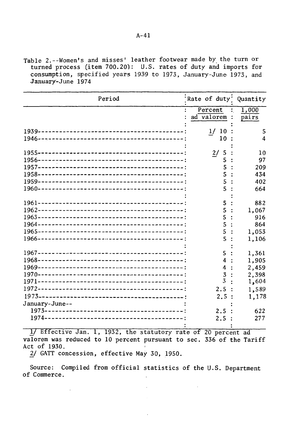Table 2.--Women's and misses' leather footwear made by\_ the turn or turned process (item 700.20): U.S. rates of duty and imports for consumption, specified years 1939 to 1973, January-June 1973, and January-June 1974

| Period         | Rate of duty: Quantity |                |
|----------------|------------------------|----------------|
|                | Percent<br>ad valorem  | 1,000<br>pairs |
|                | 10<br>1/               | 5              |
|                | 10                     | 4              |
|                | 2/<br>5                | 10             |
|                |                        | 97             |
|                | 5                      | 209            |
|                | 5                      | 434            |
|                | 5                      | 402            |
|                | 5                      | 664            |
|                |                        |                |
|                | 5                      | 882            |
|                | 5                      | 1,067          |
|                | 5                      | 916            |
|                | 5                      | 864            |
|                | 5                      | 1,053          |
|                | 5                      | 1,106          |
|                |                        |                |
|                | 5                      | 1,361          |
|                | 4                      | 1,905          |
|                | 4                      | 2,459          |
|                | 3<br>3                 | 2,398          |
|                |                        | 1,604          |
|                | 2.5                    | 1,589          |
|                | 2.5:                   | 1,178          |
| January-June-- |                        |                |
|                | 2.5                    | 622            |
|                | 2.5                    | 277            |

1/ Effective Jan. 1, 1932, the statutory rate of 20 percent ad valorem was reduced to 10 percent pursuant to sec. 336 of the Tariff Act of 1930.

2/ GATT concession, effective May 30, 1950.

 $\sim 10^{11}$  m  $^{-1}$ 

Source: Compiled from official statistics of the U.S. Department of Commerce.  $\mathbf{r}$ 

 $\mathcal{L}$ 

 $\Delta$ 

 $\sim 10$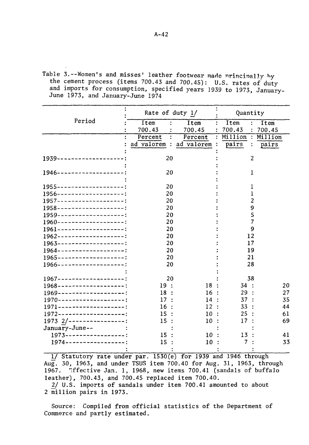Table 3.--Women's and misses' leather footwear made nrincinally hy the cement process (items 700.43 and 700.45): U.S. rates of duty and imports for consumption, specified years 1939 to 1973, January-June 1973, and January-June 1974

|                                      | Rate of duty 1/         |                          | Quantity               |         |
|--------------------------------------|-------------------------|--------------------------|------------------------|---------|
| Period                               | Item                    | Item                     | Item<br>$\ddot{\cdot}$ | Item    |
|                                      | 700.43                  | 700.45<br>$\ddot{\cdot}$ | 700.43<br>$\mathbf{r}$ | 700.45  |
|                                      | Percent<br>$\cdot$      | Percent                  | $:$ Million $:$        | Million |
|                                      | ad valorem : ad valorem |                          | pairs                  | pairs   |
| 1939--------------------             | 20                      |                          | 2                      |         |
| 1946--------------------:            | 20                      |                          | 1                      |         |
| 1955---------------------:           | 20                      |                          | 1                      |         |
| $1956 - - - - - - - - - - - - - - -$ | 20                      |                          | 1                      |         |
| $1957 - - - - - - - - - - - - - - -$ | 20                      |                          | $\overline{c}$         |         |
| 1958--------------------:            | 20                      |                          | 9                      |         |
| 1959--------------------:            | 20                      |                          | 5                      |         |
| $1960$ -------------------;          | 20                      |                          | 7                      |         |
| 1961--------------------:            | 20                      |                          | 9                      |         |
| $1962$ --------------------:         | 20                      |                          | 12                     |         |
| 1963--------------------:            | 20                      |                          | 17                     |         |
| $1964$ -------------------;          | 20                      |                          | 19                     |         |
| 1965--------------------:            | 20                      |                          | 21                     |         |
| 1966---------------------            | 20                      |                          | 28                     |         |
|                                      |                         |                          |                        |         |
| $1967$ --------------------:         | 20                      |                          | 38                     |         |
| 1968--------------------:            | 19:                     | 18                       | 34:                    | 20      |
| $1969$ --------------------:         | 18:                     | 16:                      | 29 :                   | 27      |
| $1970---------------------:$         | 17:                     | 14:                      | 37                     | 35      |
| $1971$ --------------------;         | 16                      | 12:                      | 33                     | 44      |
| $1972$ --------------------;         | 15                      | 10                       | 25                     | 61      |
| $1973$ 2/-----------------:          | 15                      | 10                       | 17                     | 69      |
| January-June--                       |                         |                          |                        |         |
| 1973------------------:              | 15                      | 10                       | 13                     | 41      |
| $1974 - - - - - - - - - - - - -$     | 15:                     | 10                       | 7                      | 33      |
|                                      |                         |                          |                        |         |

1/ Statutory rate under par. 1530(e) for 1939 and 1946 through Aug. 30, 1963, and under TSUS item 700.40 for Aug. 31, 1963, through 1967. ~ffective Jan. 1, 1968, new items 700.41 (sandals of buffalo leather), 700.43, and 700.45 replaced item 700.40.

2/ U.S. imports of sandals under item 700.41 amounted to about 2 million pairs in 1973.

Source: Compiled from official statistics of the Department of Commerce and partly estimated.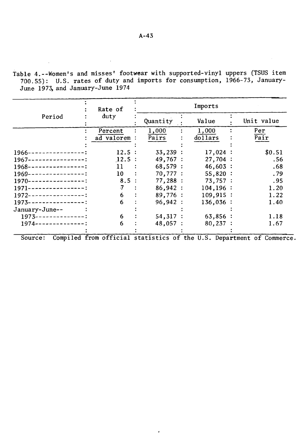Table 4.--Women's and misses' footwear with supported-vinyl uppers (TSUS item 700.55): U.S. rates of duty and imports for consumption, 1966-73, January-June 1973, and January-June 1974

|                                  |  | Rate of                                                               |          |  | Imports     |  |      |            |
|----------------------------------|--|-----------------------------------------------------------------------|----------|--|-------------|--|------|------------|
| Period                           |  | duty                                                                  | Quantity |  | Value       |  |      | Unit value |
|                                  |  | Percent                                                               | 1,000    |  | 1,000       |  | Per  |            |
|                                  |  | ad valorem :                                                          | Pairs    |  | dolars      |  | Pair |            |
|                                  |  |                                                                       |          |  |             |  |      |            |
| $1966$ ----------------:         |  | 12.5:                                                                 | 33,239:  |  | 17,024:     |  |      | \$0.51     |
| $1967$ ----------------:         |  | 12.5:                                                                 | 49,767:  |  | 27,704:     |  |      | .56        |
| $1968$ ----------------:         |  | 11                                                                    | 68,579:  |  | 46,603:     |  |      | .68        |
| $1969$ ----------------:         |  | 10                                                                    | 70,777:  |  | 55,820:     |  |      | .79        |
| $1970------------$               |  | 8.5:                                                                  | 77,288:  |  | 73,757:     |  |      | .95        |
| $1971 - - - - - - - - - -$       |  | 7                                                                     | 86,942:  |  | 104, 196:   |  |      | 1.20       |
| $1972$ ----------------:         |  | 6.                                                                    | 89,776:  |  | $109,915$ : |  |      | 1.22       |
| $1973 - - - - - - - - - - - -$ : |  | 6                                                                     | 96,942:  |  | $136,036$ : |  |      | 1.40       |
| January-June--                   |  |                                                                       |          |  |             |  |      |            |
| $1973-----------$                |  | 6.                                                                    | 54,317:  |  | 63,856:     |  |      | 1.18       |
| $1974 - - - - - - - - - - -$     |  | 6                                                                     | 48,057:  |  | $80,237$ :  |  |      | 1.67       |
|                                  |  |                                                                       |          |  |             |  |      |            |
| Source:                          |  | Compiled from official statistics of the U.S. Department of Commerce. |          |  |             |  |      |            |

 $\ddot{\phantom{a}}$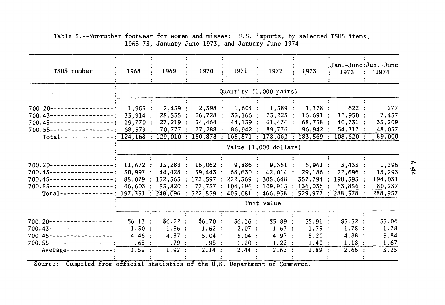| TSUS number                                                                                                  | 1968                                                                                                                                                | 1969                                                                                                                    | 1970                                        | 1971                                              | 1972                                          | 1973                                        | :Jan.-June:Jan.-June<br>1973                                                              | : 1974                                 |  |
|--------------------------------------------------------------------------------------------------------------|-----------------------------------------------------------------------------------------------------------------------------------------------------|-------------------------------------------------------------------------------------------------------------------------|---------------------------------------------|---------------------------------------------------|-----------------------------------------------|---------------------------------------------|-------------------------------------------------------------------------------------------|----------------------------------------|--|
|                                                                                                              |                                                                                                                                                     |                                                                                                                         |                                             | Quantity (1,000 pairs)                            |                                               |                                             |                                                                                           |                                        |  |
| $700.20 -$<br>$700.43-$<br>$700.45 -$<br>-------------<br>$700.55 -$                                         | 1,905:<br>33,914:<br>19,770:<br>68,579:                                                                                                             | 2,459:<br>28,555:<br>27,219:<br>70,777:                                                                                 | 2,398:<br>36,728:<br>34,464:                | 1,604:<br>33,166:<br>44,159:<br>77,288 : 86,942 : | 1,589:<br>25,223:<br>$61,474$ :<br>89,776:    | 1,178:<br>16,691:<br>68,758:<br>96,942:     | 622:<br>12,950:<br>40,731:<br>54,317:                                                     | 277<br>7,457<br>33,209<br>48,057       |  |
| Total--                                                                                                      |                                                                                                                                                     | $124, 168 : 129, 010 : 150, 878 : 165, 871 : 178, 062 : 183, 569 :$<br>$108,620$ :<br>89,000<br>Value $(1,000$ dollars) |                                             |                                                   |                                               |                                             |                                                                                           |                                        |  |
| $700.20 -$<br>$700.43 -$<br>----------<br>$700.45$ ---------------<br>$700.55$ ---------------               | 11,672:<br>50.997:<br>$46,603$ :                                                                                                                    | $15,283$ :<br>44,428 :                                                                                                  | 16,062:<br>59,443:                          | 9,886:<br>68,630:                                 | $9,361$ :<br>$42,014$ :                       | 6,961:<br>29,186:                           | 3,433:<br>22,696:<br>88,079 : 132,565 : 173,597 : 222,369 : 305,648 : 357,794 : 198,593 : | 1,396<br>13,293<br>194,031<br>80,237   |  |
| $Total-----$                                                                                                 | $55,820$ : 73,757 : 104,196 : 109,915 : 136,036 : 63,856 :<br>$197,351 : 248,096 : 322,859 : 405,081 : 466,938 : 529,977 : 288,578 :$<br>Unit value |                                                                                                                         |                                             |                                                   |                                               |                                             |                                                                                           | 288,957                                |  |
| $700.20 -$<br>$700.43$ ----------------<br>$700.45$ ---------------<br>$700.55$ ----------------<br>Average- | \$6.13:<br>1.50:<br>4.46:<br>.68:<br>1.59:                                                                                                          | \$6.22:<br>1.56:<br>4.87:<br>.79:<br>1.92 :                                                                             | \$6.70:<br>1.62 :<br>5.04:<br>.95:<br>2.14: | \$6.16:<br>2.07:<br>5.04 :<br>1.20:<br>2.44:      | \$5.89:<br>1.67:<br>4.97:<br>1.22 :<br>2.62 : | \$5.91:<br>1.75:<br>5.20:<br>1.40:<br>2.89: | \$5.52:<br>1.75:<br>4.88:<br>1.18:<br>2.66:                                               | \$5.04<br>1.78<br>5.84<br>1.67<br>3.25 |  |

#### Table 5.--Nonrubber footwear for women and misses: U.S. imports, by selected TSUS items, 1968-73, January-June 1973, and January-June 1974

Source: Compiled from official statistics of the U.S. Department of Commerce.

.1 ~

 $\sim$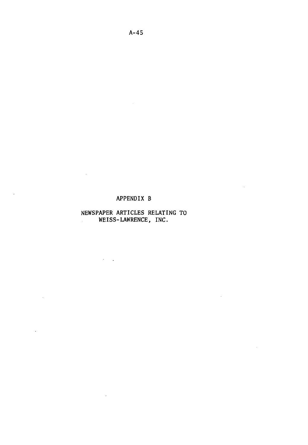#### APPENDIX B

 $\sim 10^{-1}$ 

 $\sim 10$ 

 $\sim 10$ 

 $\mathcal{A}$ 

 $\overline{\phantom{a}}$ 

 $\sim 10^{11}$ 

 $\sim$   $\sim$ 

#### NEWSPAPER ARTICLES RELATING TO WEISS-LAWRENCE, INC.

 $\mathcal{L}(\mathcal{L})$  .

 $\mathcal{L}^{\text{max}}_{\text{max}}$  and  $\mathcal{L}^{\text{max}}_{\text{max}}$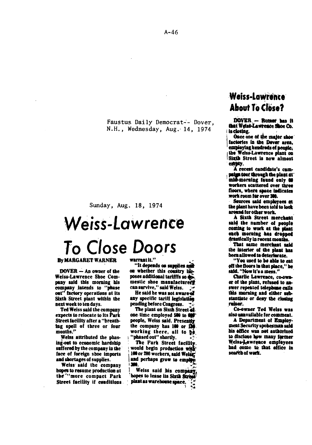Faustus Daily Democrat-- Dover, N.H., Wednesday, Aug. 14, 1974

Sunday, Aug. 18, 1974

# Weiss-Lawrence **To Close Doors**

#### By MARGARET WARNER

 $DOVER - An owner of the$ Weiss-Lawrence Shoe Company said this morning his company intends to "phase out" factory operations at its Sixth Street plant within the next week to tea days.

Ted Weiss said the company expects to relocate to its Park Street facility after a "breathing spell of three or four months.''

Weiss attributed the phasing-out to economic hardship suffered by the company in the face of foreign sboe imports and shortages of supplies.

Weiss· said the company hopes to resume production at the "more compact Park Street facility if conditions.

#### warrantit."

"It depends on supplies and on whether this comitry linposes additional tarifffs so do. mestic shoe manufacturerf can survive." said Weiss.

He said he was not aware of any specific tariff legislation pending before Congress.

The plant on Sixth Street 44. one time employed 500 to 600 people. Weiss said. Presently the company has 100 or BO working there, all to  $\phi$ . 'phased out" shortly.

The Park Street facility would begin production with and perhaps grow to employ.<br>
190.<br>
Weiss said his company.<br>
hopes to lease its Sixth Street:

plant as warehouse space.  $\cdot$   $\cdot$   $\cdot$ 

# Weiss-Lawrence **About To Close?**

DOVER. - Rumer has it that Weiss-Lawrence Shoe Co. 111 doting. · *:* 

factories in the Dover area,<br>
employing hundreds of people, Once one of the major shoe employing numerous or people;<br>
1 the Welss-Lawrence plant on<br>
1 Sixth Street is now almost<br>
entry.<br>
A recent candidate's cam-<br>
pulse tour through the plant at<br>
mid-morning found only 00

workers scattered over three floors, where space indicates<br>work room for over 300.

Sources said employees at the plant have been told to look around for other work.

A Sixth Street merchant said the namber of people coming to work at the plant<br>each morning has dropped<br>drastically in recent months.

That same merchant said the interior of the plant has been allowed to deteriorate.

"You used to be able to eat off the floors in that place," he<br>shid. "Now it's a mess."

Charlie Lawrence, co-own-<br>er of the plant, refused to answer repeated telephone calls this morning and either sub-1tantiate or deny the closing<br>
rainor.<br>
Co-owner Ted Welss was

also aaavallable for eommeat.

A Department of Employment Security spokesman said his effice was net authorized to disclose how many former Weiss-Lawrence employees bad come to that effice in search of work.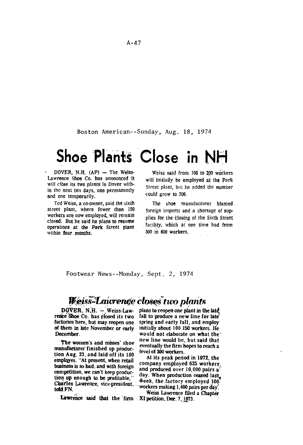Boston American--Sunday, Aug. 18, 1974

# $Shoe$  Plants Close in NH

 $DOVER$ , N.H.  $(AP)$  - The Weiss-Lawrence Shoe Co. has announced it will close its two plants in Dover within the nexl ten days, one permanently and one temporarily.

Ted Weiss, a co-owner, said the sixth street plant, where fewer than 150 workers are now employed, will remain closed. But he said he plans to resume operations at the Park Street plant within four months.

Weiss said from 100 to 200 workers will initially be employed at the Park Street plant, but he added the number ·could grow to 300.

The shoe manufacturer blamed. foreign imports and a shortage of sup· plies for the closing of the Sixth Street. facility. which at one time had from 500 to 600 workers.

Footwear News--Monday, Sept, 2, 1974

# Weiss-Lawrence closes two plants

rence'Shoe Co. has closed its two factories here, but may reopen one factories here, but may reopen one spring and early fall, and employ of them in late November or early initially about 100 150 workers. He

manufacturer finished up produc-<br>high due all and hold affile tool level of 300 workers. tion Aug. 23, and laid off its  $100$  even on a workers.<br> **employes.** "At present, when retail and the peak period in 1972, the Charles Lawrence, vice-president, ween, the lactory employed for tool.<br>told FN.

· Lawrence said that the firm · XI petition, Dec. 7, 1973.

DOVER. N.H.  $-$  Weiss-Law- plans to reopen one plant in the late  $\frac{1}{2}$  are Shoe Co. has closed its two fall to produce a new line for late of them in late November or early initially about 100 150 workers. He<br>December. would not elaborate on what the would not elaborate on what the new line would be, but said that The women's and misses' shoe new line would be, but said that  $\frac{1}{2}$  eventually the firm hopes to reach a

business is so bad, and with foreign company employed 625 workers,<br>business is so bad, and with foreign and produced over 10,000 pairs a<sup>3</sup><br>competition, we can't keep produc- day. When production ceased last,<br>tion up enou  $\hat{\mathbf{w}}$ eek, the factory employed 100.

Weiss Lawrence filed a Chapter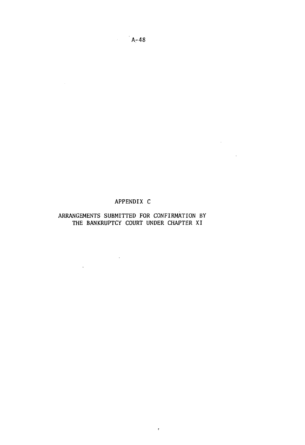### APPENDIX C

 $\mathcal{L}^{\text{max}}_{\text{max}}$  and  $\mathcal{L}^{\text{max}}_{\text{max}}$ 

 $\sim 10^{-11}$ 

#### ARRANGEMENTS SUBMITTED FOR CONFIRMATION BY THE BANKRUPTCY COURT UNDER CHAPTER XI

 $\bar{t}$ 

 $\mathcal{L}^{\text{max}}_{\text{max}}$ 

 $\sim 10^{-11}$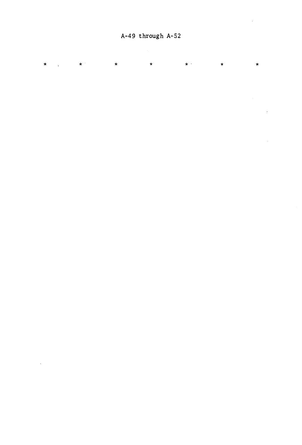\* \* \* \* \* \*

 $\hat{\boldsymbol{\theta}}$ 

 $\ddot{\phantom{a}}$